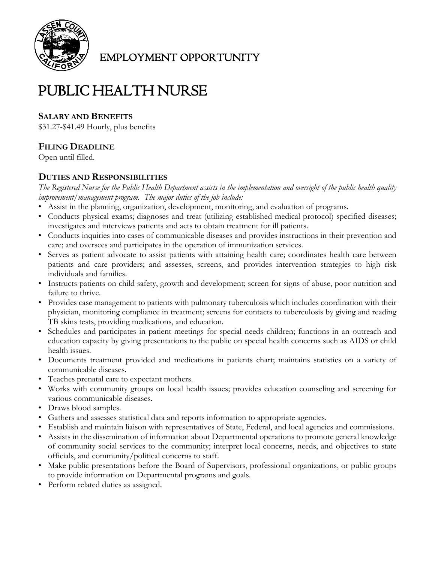

EMPLOYMENT OPPORTUNITY

# PUBLIC HEALTH NURSE

## **SALARY AND BENEFITS**

\$31.27-\$41.49 Hourly, plus benefits

## **FILING DEADLINE**

Open until filled.

### **DUTIES AND RESPONSIBILITIES**

*The Registered Nurse for the Public Health Department assists in the implementation and oversight of the public health quality improvement/management program. The major duties of the job include:*

- Assist in the planning, organization, development, monitoring, and evaluation of programs.
- Conducts physical exams; diagnoses and treat (utilizing established medical protocol) specified diseases; investigates and interviews patients and acts to obtain treatment for ill patients.
- Conducts inquiries into cases of communicable diseases and provides instructions in their prevention and care; and oversees and participates in the operation of immunization services.
- Serves as patient advocate to assist patients with attaining health care; coordinates health care between patients and care providers; and assesses, screens, and provides intervention strategies to high risk individuals and families.
- Instructs patients on child safety, growth and development; screen for signs of abuse, poor nutrition and failure to thrive.
- Provides case management to patients with pulmonary tuberculosis which includes coordination with their physician, monitoring compliance in treatment; screens for contacts to tuberculosis by giving and reading TB skins tests, providing medications, and education.
- Schedules and participates in patient meetings for special needs children; functions in an outreach and education capacity by giving presentations to the public on special health concerns such as AIDS or child health issues.
- Documents treatment provided and medications in patients chart; maintains statistics on a variety of communicable diseases.
- Teaches prenatal care to expectant mothers.
- Works with community groups on local health issues; provides education counseling and screening for various communicable diseases.
- Draws blood samples.
- Gathers and assesses statistical data and reports information to appropriate agencies.
- Establish and maintain liaison with representatives of State, Federal, and local agencies and commissions.
- Assists in the dissemination of information about Departmental operations to promote general knowledge of community social services to the community; interpret local concerns, needs, and objectives to state officials, and community/political concerns to staff.
- Make public presentations before the Board of Supervisors, professional organizations, or public groups to provide information on Departmental programs and goals.
- Perform related duties as assigned.